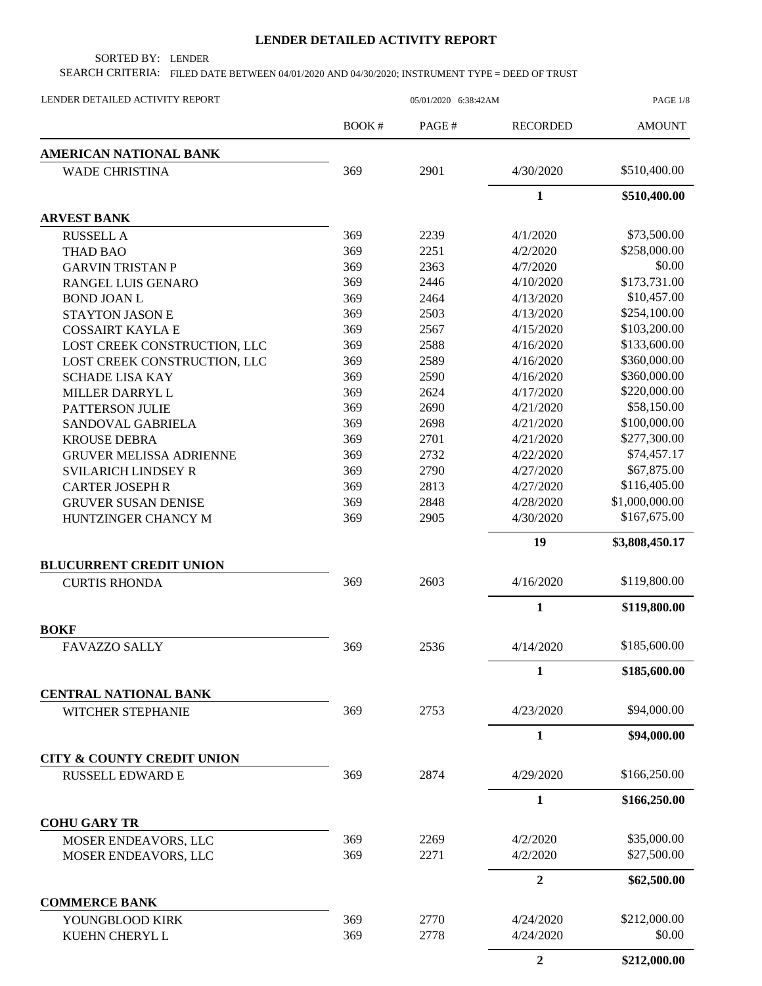## **LENDER DETAILED ACTIVITY REPORT**

SORTED BY: LENDER

SEARCH CRITERIA: FILED DATE BETWEEN 04/01/2020 AND 04/30/2020; INSTRUMENT TYPE = DEED OF TRUST

| LENDER DETAILED ACTIVITY REPORT                   | 05/01/2020 6:38:42AM |       |                  | PAGE 1/8       |
|---------------------------------------------------|----------------------|-------|------------------|----------------|
|                                                   | BOOK#                | PAGE# | <b>RECORDED</b>  | <b>AMOUNT</b>  |
| <b>AMERICAN NATIONAL BANK</b>                     |                      |       |                  |                |
| <b>WADE CHRISTINA</b>                             | 369                  | 2901  | 4/30/2020        | \$510,400.00   |
|                                                   |                      |       | $\mathbf{1}$     | \$510,400.00   |
| <b>ARVEST BANK</b>                                |                      |       |                  |                |
| <b>RUSSELL A</b>                                  | 369                  | 2239  | 4/1/2020         | \$73,500.00    |
| <b>THAD BAO</b>                                   | 369                  | 2251  | 4/2/2020         | \$258,000.00   |
| <b>GARVIN TRISTAN P</b>                           | 369                  | 2363  | 4/7/2020         | \$0.00         |
| RANGEL LUIS GENARO                                | 369                  | 2446  | 4/10/2020        | \$173,731.00   |
| <b>BOND JOAN L</b>                                | 369                  | 2464  | 4/13/2020        | \$10,457.00    |
| STAYTON JASON E                                   | 369                  | 2503  | 4/13/2020        | \$254,100.00   |
| <b>COSSAIRT KAYLA E</b>                           | 369                  | 2567  | 4/15/2020        | \$103,200.00   |
| LOST CREEK CONSTRUCTION, LLC                      | 369                  | 2588  | 4/16/2020        | \$133,600.00   |
| LOST CREEK CONSTRUCTION, LLC                      | 369                  | 2589  | 4/16/2020        | \$360,000.00   |
| <b>SCHADE LISA KAY</b>                            | 369                  | 2590  | 4/16/2020        | \$360,000.00   |
| MILLER DARRYL L                                   | 369                  | 2624  | 4/17/2020        | \$220,000.00   |
| PATTERSON JULIE                                   | 369                  | 2690  | 4/21/2020        | \$58,150.00    |
| SANDOVAL GABRIELA                                 | 369                  | 2698  | 4/21/2020        | \$100,000.00   |
| <b>KROUSE DEBRA</b>                               | 369                  | 2701  | 4/21/2020        | \$277,300.00   |
| <b>GRUVER MELISSA ADRIENNE</b>                    | 369                  | 2732  | 4/22/2020        | \$74,457.17    |
| <b>SVILARICH LINDSEY R</b>                        | 369                  | 2790  | 4/27/2020        | \$67,875.00    |
| <b>CARTER JOSEPH R</b>                            | 369                  | 2813  | 4/27/2020        | \$116,405.00   |
| <b>GRUVER SUSAN DENISE</b>                        | 369                  | 2848  | 4/28/2020        | \$1,000,000.00 |
| HUNTZINGER CHANCY M                               | 369                  | 2905  | 4/30/2020        | \$167,675.00   |
|                                                   |                      |       | 19               | \$3,808,450.17 |
| <b>BLUCURRENT CREDIT UNION</b>                    |                      |       |                  |                |
| <b>CURTIS RHONDA</b>                              | 369                  | 2603  | 4/16/2020        | \$119,800.00   |
|                                                   |                      |       | $\mathbf{1}$     | \$119,800.00   |
| <b>BOKF</b>                                       |                      |       |                  |                |
| <b>FAVAZZO SALLY</b>                              | 369                  | 2536  | 4/14/2020        | \$185,600.00   |
|                                                   |                      |       | $\mathbf{1}$     | \$185,600.00   |
| <b>CENTRAL NATIONAL BANK</b><br>WITCHER STEPHANIE | 369                  | 2753  | 4/23/2020        | \$94,000.00    |
|                                                   |                      |       | $\mathbf{1}$     | \$94,000.00    |
| <b>CITY &amp; COUNTY CREDIT UNION</b>             |                      |       |                  |                |
| <b>RUSSELL EDWARD E</b>                           | 369                  | 2874  | 4/29/2020        | \$166,250.00   |
|                                                   |                      |       | $\mathbf{1}$     | \$166,250.00   |
| <b>COHU GARY TR</b>                               |                      |       |                  |                |
| MOSER ENDEAVORS, LLC                              | 369                  | 2269  | 4/2/2020         | \$35,000.00    |
| MOSER ENDEAVORS, LLC                              | 369                  | 2271  | 4/2/2020         | \$27,500.00    |
|                                                   |                      |       | $\overline{2}$   | \$62,500.00    |
| <b>COMMERCE BANK</b>                              |                      |       |                  |                |
| YOUNGBLOOD KIRK                                   | 369                  | 2770  | 4/24/2020        | \$212,000.00   |
| KUEHN CHERYL L                                    | 369                  | 2778  | 4/24/2020        | \$0.00         |
|                                                   |                      |       | $\boldsymbol{2}$ | \$212,000.00   |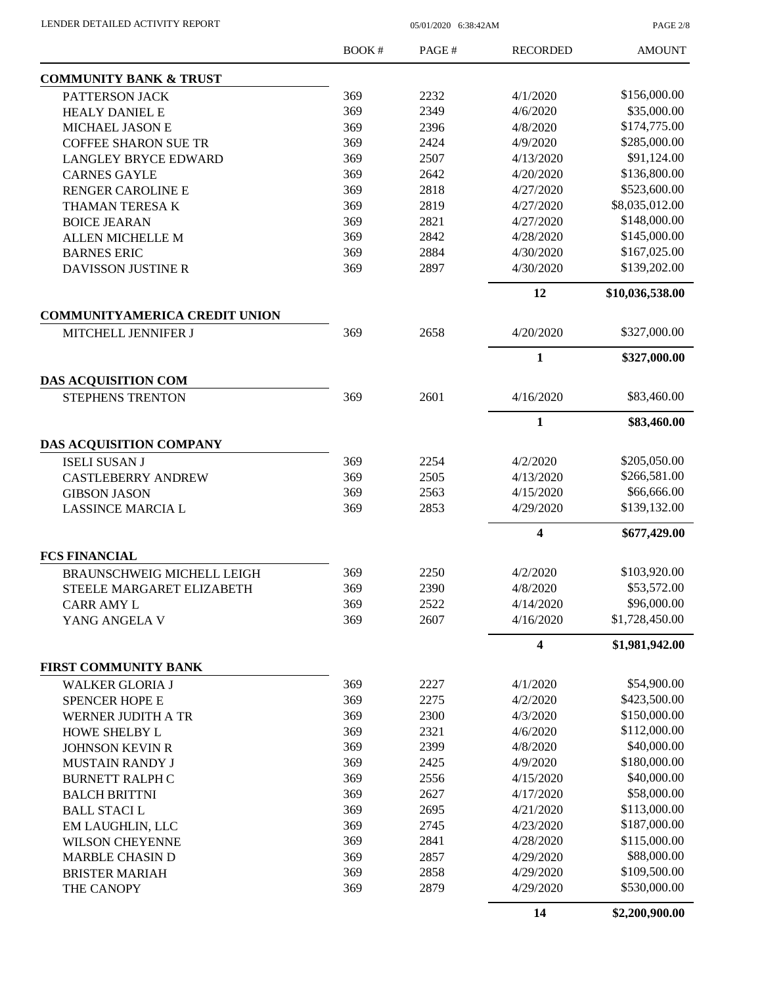LENDER DETAILED ACTIVITY REPORT 05/01/2020 6:38:42AM

PAGE 2/8

|                                                       | <b>BOOK#</b> | PAGE# | <b>RECORDED</b> | <b>AMOUNT</b>   |
|-------------------------------------------------------|--------------|-------|-----------------|-----------------|
| <b>COMMUNITY BANK &amp; TRUST</b>                     |              |       |                 |                 |
| PATTERSON JACK                                        | 369          | 2232  | 4/1/2020        | \$156,000.00    |
| <b>HEALY DANIEL E</b>                                 | 369          | 2349  | 4/6/2020        | \$35,000.00     |
| MICHAEL JASON E                                       | 369          | 2396  | 4/8/2020        | \$174,775.00    |
| <b>COFFEE SHARON SUE TR</b>                           | 369          | 2424  | 4/9/2020        | \$285,000.00    |
| <b>LANGLEY BRYCE EDWARD</b>                           | 369          | 2507  | 4/13/2020       | \$91,124.00     |
| <b>CARNES GAYLE</b>                                   | 369          | 2642  | 4/20/2020       | \$136,800.00    |
| RENGER CAROLINE E                                     | 369          | 2818  | 4/27/2020       | \$523,600.00    |
| THAMAN TERESA K                                       | 369          | 2819  | 4/27/2020       | \$8,035,012.00  |
| <b>BOICE JEARAN</b>                                   | 369          | 2821  | 4/27/2020       | \$148,000.00    |
| ALLEN MICHELLE M                                      | 369          | 2842  | 4/28/2020       | \$145,000.00    |
| <b>BARNES ERIC</b>                                    | 369          | 2884  | 4/30/2020       | \$167,025.00    |
| DAVISSON JUSTINE R                                    | 369          | 2897  | 4/30/2020       | \$139,202.00    |
|                                                       |              |       | 12              | \$10,036,538.00 |
| <b>COMMUNITYAMERICA CREDIT UNION</b>                  |              |       |                 |                 |
| MITCHELL JENNIFER J                                   | 369          | 2658  | 4/20/2020       | \$327,000.00    |
|                                                       |              |       | 1               | \$327,000.00    |
| <b>DAS ACQUISITION COM</b><br><b>STEPHENS TRENTON</b> |              | 2601  | 4/16/2020       | \$83,460.00     |
|                                                       | 369          |       |                 |                 |
|                                                       |              |       | $\mathbf{1}$    | \$83,460.00     |
| <b>DAS ACQUISITION COMPANY</b>                        |              |       |                 |                 |
| <b>ISELI SUSAN J</b>                                  | 369          | 2254  | 4/2/2020        | \$205,050.00    |
| <b>CASTLEBERRY ANDREW</b>                             | 369          | 2505  | 4/13/2020       | \$266,581.00    |
| <b>GIBSON JASON</b>                                   | 369          | 2563  | 4/15/2020       | \$66,666.00     |
| <b>LASSINCE MARCIA L</b>                              | 369          | 2853  | 4/29/2020       | \$139,132.00    |
|                                                       |              |       | 4               | \$677,429.00    |
| <b>FCS FINANCIAL</b>                                  |              |       |                 |                 |
| <b>BRAUNSCHWEIG MICHELL LEIGH</b>                     | 369          | 2250  | 4/2/2020        | \$103,920.00    |
| STEELE MARGARET ELIZABETH                             | 369          | 2390  | 4/8/2020        | \$53,572.00     |
| <b>CARR AMY L</b>                                     | 369          | 2522  | 4/14/2020       | \$96,000.00     |
| YANG ANGELA V                                         | 369          | 2607  | 4/16/2020       | \$1,728,450.00  |
|                                                       |              |       | 4               | \$1,981,942.00  |
| <b>FIRST COMMUNITY BANK</b>                           |              |       |                 |                 |
| <b>WALKER GLORIA J</b>                                | 369          | 2227  | 4/1/2020        | \$54,900.00     |
| <b>SPENCER HOPE E</b>                                 | 369          | 2275  | 4/2/2020        | \$423,500.00    |
| WERNER JUDITH A TR                                    | 369          | 2300  | 4/3/2020        | \$150,000.00    |
| HOWE SHELBY L                                         | 369          | 2321  | 4/6/2020        | \$112,000.00    |
| <b>JOHNSON KEVIN R</b>                                | 369          | 2399  | 4/8/2020        | \$40,000.00     |
| MUSTAIN RANDY J                                       | 369          | 2425  | 4/9/2020        | \$180,000.00    |
| <b>BURNETT RALPH C</b>                                | 369          | 2556  | 4/15/2020       | \$40,000.00     |
| <b>BALCH BRITTNI</b>                                  | 369          | 2627  | 4/17/2020       | \$58,000.00     |
| <b>BALL STACIL</b>                                    | 369          | 2695  | 4/21/2020       | \$113,000.00    |
| EM LAUGHLIN, LLC                                      | 369          | 2745  | 4/23/2020       | \$187,000.00    |
| <b>WILSON CHEYENNE</b>                                | 369          | 2841  | 4/28/2020       | \$115,000.00    |
| <b>MARBLE CHASIN D</b>                                | 369          | 2857  | 4/29/2020       | \$88,000.00     |
| <b>BRISTER MARIAH</b>                                 | 369          | 2858  | 4/29/2020       | \$109,500.00    |
| THE CANOPY                                            | 369          | 2879  | 4/29/2020       | \$530,000.00    |
|                                                       |              |       | 14              | \$2,200,900.00  |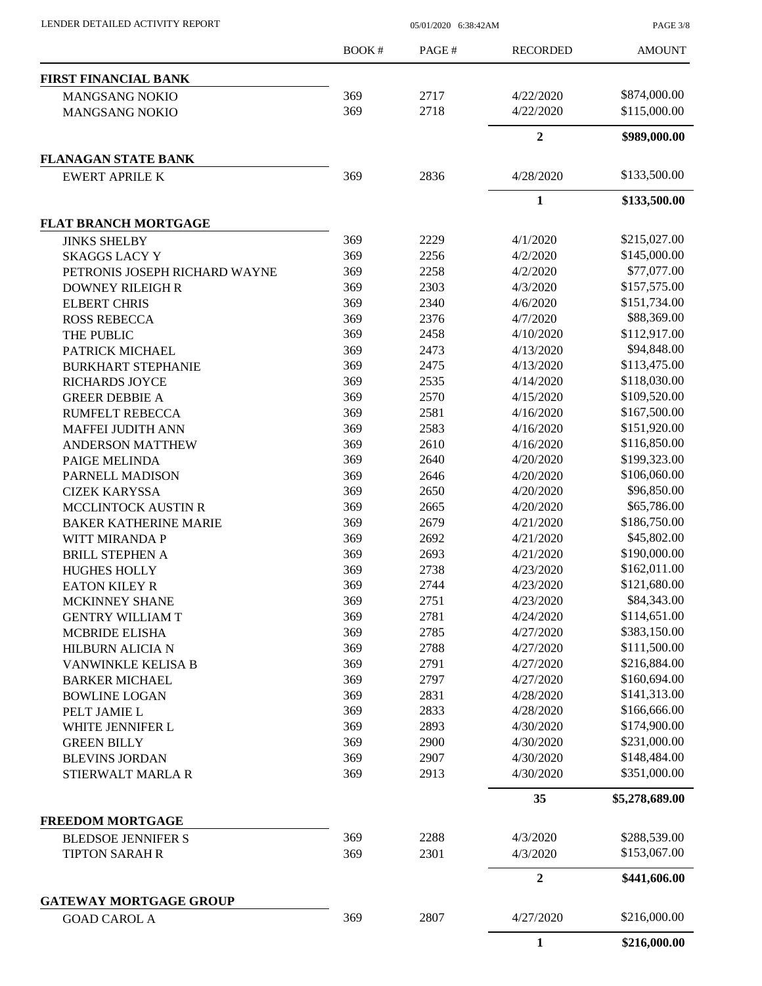PAGE 3/8

|                               | BOOK# | PAGE# | <b>RECORDED</b>  | <b>AMOUNT</b>  |
|-------------------------------|-------|-------|------------------|----------------|
| <b>FIRST FINANCIAL BANK</b>   |       |       |                  |                |
| <b>MANGSANG NOKIO</b>         | 369   | 2717  | 4/22/2020        | \$874,000.00   |
| <b>MANGSANG NOKIO</b>         | 369   | 2718  | 4/22/2020        | \$115,000.00   |
|                               |       |       | $\mathbf{2}$     | \$989,000.00   |
| <b>FLANAGAN STATE BANK</b>    |       |       |                  |                |
| <b>EWERT APRILE K</b>         | 369   | 2836  | 4/28/2020        | \$133,500.00   |
|                               |       |       | $\mathbf{1}$     | \$133,500.00   |
| <b>FLAT BRANCH MORTGAGE</b>   |       |       |                  |                |
| <b>JINKS SHELBY</b>           | 369   | 2229  | 4/1/2020         | \$215,027.00   |
| <b>SKAGGS LACY Y</b>          | 369   | 2256  | 4/2/2020         | \$145,000.00   |
| PETRONIS JOSEPH RICHARD WAYNE | 369   | 2258  | 4/2/2020         | \$77,077.00    |
| <b>DOWNEY RILEIGH R</b>       | 369   | 2303  | 4/3/2020         | \$157,575.00   |
|                               |       |       |                  |                |
| <b>ELBERT CHRIS</b>           | 369   | 2340  | 4/6/2020         | \$151,734.00   |
| <b>ROSS REBECCA</b>           | 369   | 2376  | 4/7/2020         | \$88,369.00    |
| THE PUBLIC                    | 369   | 2458  | 4/10/2020        | \$112,917.00   |
| PATRICK MICHAEL               | 369   | 2473  | 4/13/2020        | \$94,848.00    |
| <b>BURKHART STEPHANIE</b>     | 369   | 2475  | 4/13/2020        | \$113,475.00   |
| <b>RICHARDS JOYCE</b>         | 369   | 2535  | 4/14/2020        | \$118,030.00   |
| <b>GREER DEBBIE A</b>         | 369   | 2570  | 4/15/2020        | \$109,520.00   |
| <b>RUMFELT REBECCA</b>        | 369   | 2581  | 4/16/2020        | \$167,500.00   |
| <b>MAFFEI JUDITH ANN</b>      | 369   | 2583  | 4/16/2020        | \$151,920.00   |
| <b>ANDERSON MATTHEW</b>       | 369   | 2610  | 4/16/2020        | \$116,850.00   |
| PAIGE MELINDA                 | 369   | 2640  | 4/20/2020        | \$199,323.00   |
| PARNELL MADISON               | 369   | 2646  | 4/20/2020        | \$106,060.00   |
|                               |       |       |                  | \$96,850.00    |
| <b>CIZEK KARYSSA</b>          | 369   | 2650  | 4/20/2020        |                |
| MCCLINTOCK AUSTIN R           | 369   | 2665  | 4/20/2020        | \$65,786.00    |
| <b>BAKER KATHERINE MARIE</b>  | 369   | 2679  | 4/21/2020        | \$186,750.00   |
| WITT MIRANDA P                | 369   | 2692  | 4/21/2020        | \$45,802.00    |
| <b>BRILL STEPHEN A</b>        | 369   | 2693  | 4/21/2020        | \$190,000.00   |
| <b>HUGHES HOLLY</b>           | 369   | 2738  | 4/23/2020        | \$162,011.00   |
| <b>EATON KILEY R</b>          | 369   | 2744  | 4/23/2020        | \$121,680.00   |
| MCKINNEY SHANE                | 369   | 2751  | 4/23/2020        | \$84,343.00    |
| <b>GENTRY WILLIAM T</b>       | 369   | 2781  | 4/24/2020        | \$114,651.00   |
| <b>MCBRIDE ELISHA</b>         | 369   | 2785  | 4/27/2020        | \$383,150.00   |
| <b>HILBURN ALICIA N</b>       | 369   | 2788  | 4/27/2020        | \$111,500.00   |
| VANWINKLE KELISA B            | 369   | 2791  | 4/27/2020        | \$216,884.00   |
|                               | 369   | 2797  | 4/27/2020        | \$160,694.00   |
| <b>BARKER MICHAEL</b>         |       |       |                  |                |
| <b>BOWLINE LOGAN</b>          | 369   | 2831  | 4/28/2020        | \$141,313.00   |
| PELT JAMIE L                  | 369   | 2833  | 4/28/2020        | \$166,666.00   |
| WHITE JENNIFER L              | 369   | 2893  | 4/30/2020        | \$174,900.00   |
| <b>GREEN BILLY</b>            | 369   | 2900  | 4/30/2020        | \$231,000.00   |
| <b>BLEVINS JORDAN</b>         | 369   | 2907  | 4/30/2020        | \$148,484.00   |
| STIERWALT MARLA R             | 369   | 2913  | 4/30/2020        | \$351,000.00   |
|                               |       |       | 35               | \$5,278,689.00 |
| <b>FREEDOM MORTGAGE</b>       |       |       |                  |                |
| <b>BLEDSOE JENNIFER S</b>     | 369   | 2288  | 4/3/2020         | \$288,539.00   |
| <b>TIPTON SARAH R</b>         | 369   | 2301  | 4/3/2020         | \$153,067.00   |
|                               |       |       | $\boldsymbol{2}$ | \$441,606.00   |
| <b>GATEWAY MORTGAGE GROUP</b> |       |       |                  |                |
| <b>GOAD CAROL A</b>           | 369   | 2807  | 4/27/2020        | \$216,000.00   |
|                               |       |       | $\mathbf{1}$     | \$216,000.00   |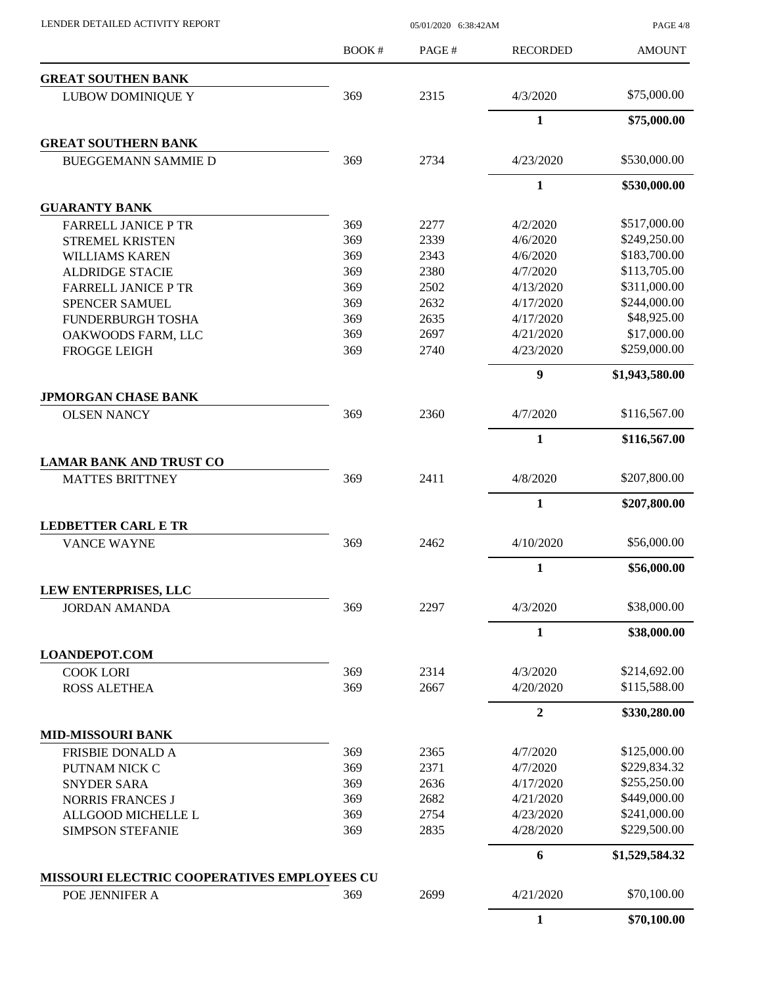PAGE 4/8

|                                                  | BOOK# | PAGE# | <b>RECORDED</b>  | <b>AMOUNT</b>  |
|--------------------------------------------------|-------|-------|------------------|----------------|
| <b>GREAT SOUTHEN BANK</b>                        |       |       |                  |                |
| <b>LUBOW DOMINIQUE Y</b>                         | 369   | 2315  | 4/3/2020         | \$75,000.00    |
|                                                  |       |       | 1                | \$75,000.00    |
| <b>GREAT SOUTHERN BANK</b>                       |       |       |                  |                |
| <b>BUEGGEMANN SAMMIE D</b>                       | 369   | 2734  | 4/23/2020        | \$530,000.00   |
|                                                  |       |       | $\mathbf{1}$     | \$530,000.00   |
| <b>GUARANTY BANK</b>                             |       |       |                  |                |
| <b>FARRELL JANICE P TR</b>                       | 369   | 2277  | 4/2/2020         | \$517,000.00   |
| <b>STREMEL KRISTEN</b>                           | 369   | 2339  | 4/6/2020         | \$249,250.00   |
| <b>WILLIAMS KAREN</b>                            | 369   | 2343  | 4/6/2020         | \$183,700.00   |
| <b>ALDRIDGE STACIE</b>                           | 369   | 2380  | 4/7/2020         | \$113,705.00   |
| <b>FARRELL JANICE P TR</b>                       | 369   | 2502  | 4/13/2020        | \$311,000.00   |
| <b>SPENCER SAMUEL</b>                            | 369   | 2632  | 4/17/2020        | \$244,000.00   |
| FUNDERBURGH TOSHA                                | 369   | 2635  | 4/17/2020        | \$48,925.00    |
| OAKWOODS FARM, LLC                               | 369   | 2697  | 4/21/2020        | \$17,000.00    |
| <b>FROGGE LEIGH</b>                              | 369   | 2740  | 4/23/2020        | \$259,000.00   |
|                                                  |       |       | 9                | \$1,943,580.00 |
| <b>JPMORGAN CHASE BANK</b><br><b>OLSEN NANCY</b> | 369   | 2360  | 4/7/2020         | \$116,567.00   |
|                                                  |       |       |                  |                |
|                                                  |       |       | $\mathbf{1}$     | \$116,567.00   |
| <b>LAMAR BANK AND TRUST CO</b>                   |       |       |                  |                |
| <b>MATTES BRITTNEY</b>                           | 369   | 2411  | 4/8/2020         | \$207,800.00   |
|                                                  |       |       | $\mathbf{1}$     | \$207,800.00   |
| <b>LEDBETTER CARL E TR</b>                       |       |       |                  |                |
| <b>VANCE WAYNE</b>                               | 369   | 2462  | 4/10/2020        | \$56,000.00    |
|                                                  |       |       | $\mathbf{1}$     | \$56,000.00    |
| LEW ENTERPRISES, LLC                             | 369   | 2297  |                  | \$38,000.00    |
| <b>JORDAN AMANDA</b>                             |       |       | 4/3/2020         |                |
|                                                  |       |       | $\mathbf{1}$     | \$38,000.00    |
| <b>LOANDEPOT.COM</b>                             |       |       |                  |                |
| <b>COOK LORI</b>                                 | 369   | 2314  | 4/3/2020         | \$214,692.00   |
| <b>ROSS ALETHEA</b>                              | 369   | 2667  | 4/20/2020        | \$115,588.00   |
|                                                  |       |       | $\boldsymbol{2}$ | \$330,280.00   |
| <b>MID-MISSOURI BANK</b>                         |       |       |                  |                |
| <b>FRISBIE DONALD A</b>                          | 369   | 2365  | 4/7/2020         | \$125,000.00   |
| PUTNAM NICK C                                    | 369   | 2371  | 4/7/2020         | \$229,834.32   |
| <b>SNYDER SARA</b>                               | 369   | 2636  | 4/17/2020        | \$255,250.00   |
| <b>NORRIS FRANCES J</b>                          | 369   | 2682  | 4/21/2020        | \$449,000.00   |
| ALLGOOD MICHELLE L                               | 369   | 2754  | 4/23/2020        | \$241,000.00   |
| <b>SIMPSON STEFANIE</b>                          | 369   | 2835  | 4/28/2020        | \$229,500.00   |
|                                                  |       |       | 6                | \$1,529,584.32 |
| MISSOURI ELECTRIC COOPERATIVES EMPLOYEES CU      | 369   |       | 4/21/2020        | \$70,100.00    |
| POE JENNIFER A                                   |       | 2699  |                  |                |
|                                                  |       |       | $\mathbf{1}$     | \$70,100.00    |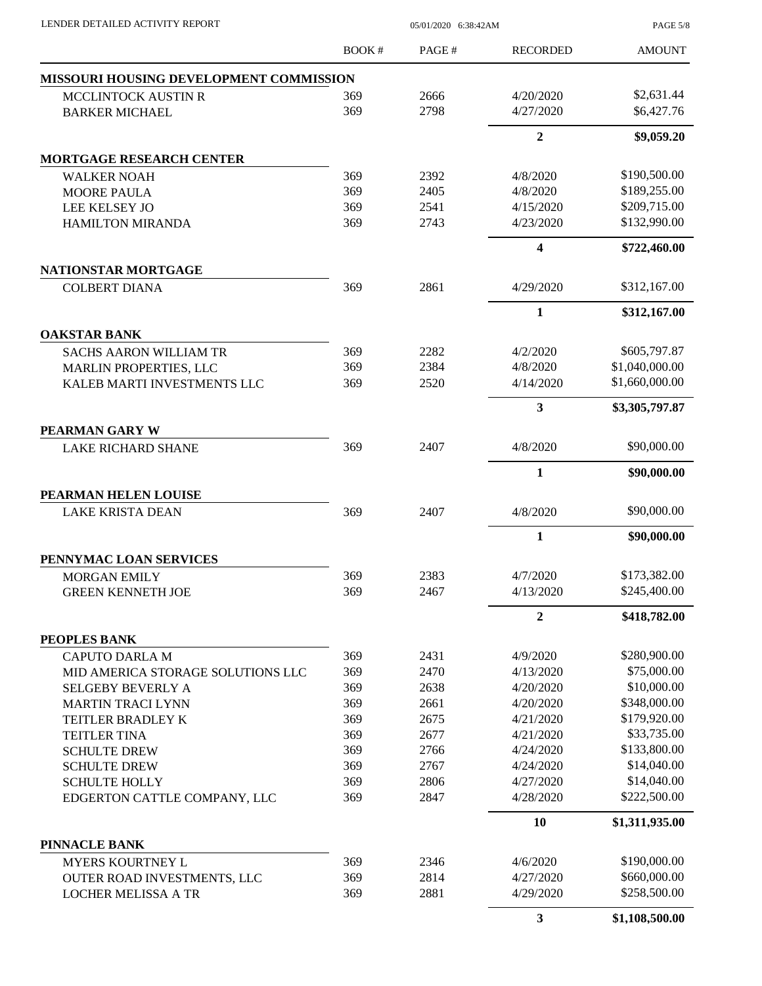| LENDER DETAILED ACTIVITY REPORT                              | 05/01/2020 6:38:42AM |              |                      | <b>PAGE 5/8</b>                |
|--------------------------------------------------------------|----------------------|--------------|----------------------|--------------------------------|
|                                                              | <b>BOOK#</b>         | PAGE#        | <b>RECORDED</b>      | <b>AMOUNT</b>                  |
| MISSOURI HOUSING DEVELOPMENT COMMISSION                      |                      |              |                      |                                |
| MCCLINTOCK AUSTIN R                                          | 369                  | 2666         | 4/20/2020            | \$2,631.44                     |
| <b>BARKER MICHAEL</b>                                        | 369                  | 2798         | 4/27/2020            | \$6,427.76                     |
|                                                              |                      |              | $\mathbf{2}$         | \$9,059.20                     |
| <b>MORTGAGE RESEARCH CENTER</b>                              |                      |              |                      |                                |
| <b>WALKER NOAH</b>                                           | 369                  | 2392         | 4/8/2020             | \$190,500.00                   |
| <b>MOORE PAULA</b>                                           | 369                  | 2405         | 4/8/2020             | \$189,255.00                   |
| LEE KELSEY JO                                                | 369                  | 2541         | 4/15/2020            | \$209,715.00                   |
| <b>HAMILTON MIRANDA</b>                                      | 369                  | 2743         | 4/23/2020            | \$132,990.00                   |
|                                                              |                      |              | 4                    | \$722,460.00                   |
| NATIONSTAR MORTGAGE                                          |                      |              |                      |                                |
| <b>COLBERT DIANA</b>                                         | 369                  | 2861         | 4/29/2020            | \$312,167.00                   |
|                                                              |                      |              | 1                    | \$312,167.00                   |
| <b>OAKSTAR BANK</b>                                          |                      |              |                      |                                |
| <b>SACHS AARON WILLIAM TR</b>                                | 369<br>369           | 2282<br>2384 | 4/2/2020<br>4/8/2020 | \$605,797.87<br>\$1,040,000.00 |
| <b>MARLIN PROPERTIES, LLC</b><br>KALEB MARTI INVESTMENTS LLC | 369                  | 2520         | 4/14/2020            | \$1,660,000.00                 |
|                                                              |                      |              | 3                    |                                |
|                                                              |                      |              |                      | \$3,305,797.87                 |
| PEARMAN GARY W                                               | 369                  | 2407         | 4/8/2020             | \$90,000.00                    |
| <b>LAKE RICHARD SHANE</b>                                    |                      |              |                      |                                |
|                                                              |                      |              | 1                    | \$90,000.00                    |
| PEARMAN HELEN LOUISE<br><b>LAKE KRISTA DEAN</b>              | 369                  | 2407         | 4/8/2020             | \$90,000.00                    |
|                                                              |                      |              | $\mathbf{1}$         | \$90,000.00                    |
| PENNYMAC LOAN SERVICES                                       |                      |              |                      |                                |
| MORGAN EMILY                                                 | 369                  | 2383         | 4/7/2020             | \$173,382.00                   |
| <b>GREEN KENNETH JOE</b>                                     | 369                  | 2467         | 4/13/2020            | \$245,400.00                   |
|                                                              |                      |              | $\overline{2}$       | \$418,782.00                   |
| PEOPLES BANK                                                 |                      |              |                      |                                |
| <b>CAPUTO DARLA M</b>                                        | 369                  | 2431         | 4/9/2020             | \$280,900.00                   |
| MID AMERICA STORAGE SOLUTIONS LLC                            | 369                  | 2470         | 4/13/2020            | \$75,000.00                    |
| <b>SELGEBY BEVERLY A</b>                                     | 369                  | 2638         | 4/20/2020            | \$10,000.00                    |
| <b>MARTIN TRACI LYNN</b>                                     | 369                  | 2661         | 4/20/2020            | \$348,000.00                   |
| TEITLER BRADLEY K                                            | 369                  | 2675         | 4/21/2020            | \$179,920.00                   |
| <b>TEITLER TINA</b>                                          | 369                  | 2677         | 4/21/2020            | \$33,735.00                    |
| <b>SCHULTE DREW</b>                                          | 369                  | 2766         | 4/24/2020            | \$133,800.00                   |
| <b>SCHULTE DREW</b>                                          | 369                  | 2767         | 4/24/2020            | \$14,040.00                    |
| <b>SCHULTE HOLLY</b>                                         | 369                  | 2806         | 4/27/2020            | \$14,040.00                    |
| EDGERTON CATTLE COMPANY, LLC                                 | 369                  | 2847         | 4/28/2020            | \$222,500.00                   |
|                                                              |                      |              | 10                   | \$1,311,935.00                 |
| PINNACLE BANK                                                |                      |              |                      |                                |
| <b>MYERS KOURTNEY L</b>                                      | 369                  | 2346         | 4/6/2020             | \$190,000.00                   |
| OUTER ROAD INVESTMENTS, LLC                                  | 369                  | 2814         | 4/27/2020            | \$660,000.00                   |
| <b>LOCHER MELISSA A TR</b>                                   | 369                  | 2881         | 4/29/2020            | \$258,500.00                   |
|                                                              |                      |              | $\mathbf{3}$         | \$1,108,500.00                 |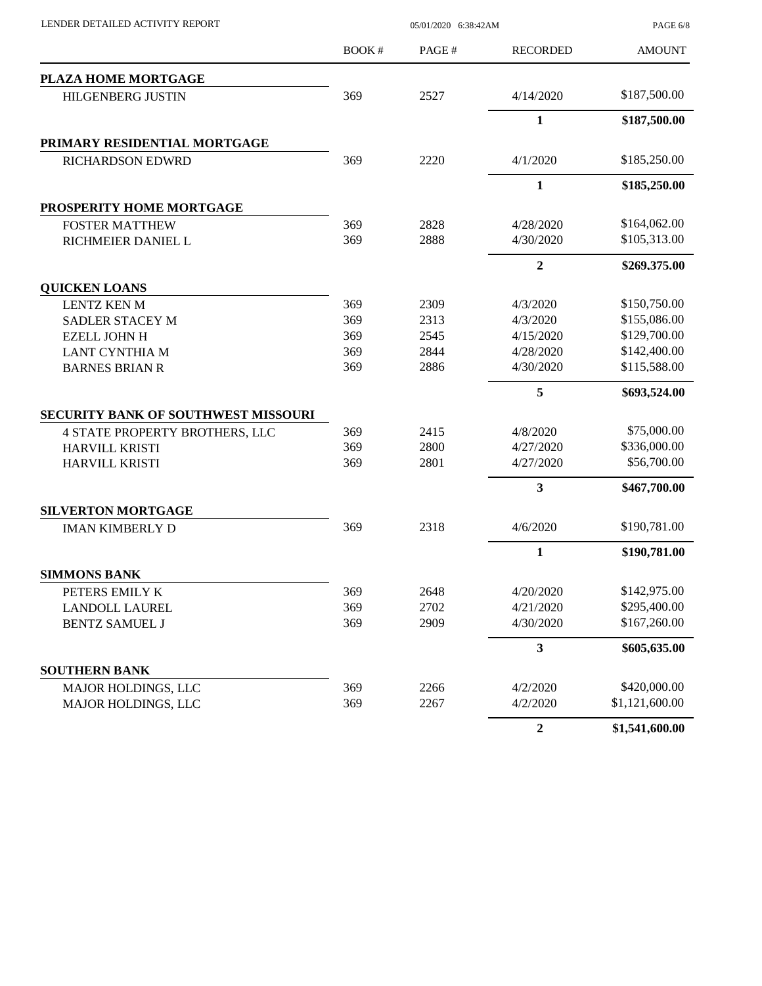| LENDER DETAILED ACTIVITY REPORT            |              | PAGE 6/8 |                  |                |
|--------------------------------------------|--------------|----------|------------------|----------------|
|                                            | <b>BOOK#</b> | PAGE#    | <b>RECORDED</b>  | <b>AMOUNT</b>  |
| <b>PLAZA HOME MORTGAGE</b>                 |              |          |                  |                |
| <b>HILGENBERG JUSTIN</b>                   | 369          | 2527     | 4/14/2020        | \$187,500.00   |
|                                            |              |          | $\mathbf{1}$     | \$187,500.00   |
| PRIMARY RESIDENTIAL MORTGAGE               |              |          |                  |                |
| RICHARDSON EDWRD                           | 369          | 2220     | 4/1/2020         | \$185,250.00   |
|                                            |              |          | $\mathbf{1}$     | \$185,250.00   |
| PROSPERITY HOME MORTGAGE                   |              |          |                  |                |
| <b>FOSTER MATTHEW</b>                      | 369          | 2828     | 4/28/2020        | \$164,062.00   |
| RICHMEIER DANIEL L                         | 369          | 2888     | 4/30/2020        | \$105,313.00   |
|                                            |              |          | $\boldsymbol{2}$ | \$269,375.00   |
| <b>QUICKEN LOANS</b>                       |              |          |                  |                |
| <b>LENTZ KEN M</b>                         | 369          | 2309     | 4/3/2020         | \$150,750.00   |
| SADLER STACEY M                            | 369          | 2313     | 4/3/2020         | \$155,086.00   |
| <b>EZELL JOHN H</b>                        | 369          | 2545     | 4/15/2020        | \$129,700.00   |
| <b>LANT CYNTHIA M</b>                      | 369          | 2844     | 4/28/2020        | \$142,400.00   |
| <b>BARNES BRIAN R</b>                      | 369          | 2886     | 4/30/2020        | \$115,588.00   |
|                                            |              |          | 5                | \$693,524.00   |
| <b>SECURITY BANK OF SOUTHWEST MISSOURI</b> |              |          |                  |                |
| 4 STATE PROPERTY BROTHERS, LLC             | 369          | 2415     | 4/8/2020         | \$75,000.00    |
| HARVILL KRISTI                             | 369          | 2800     | 4/27/2020        | \$336,000.00   |
| HARVILL KRISTI                             | 369          | 2801     | 4/27/2020        | \$56,700.00    |
|                                            |              |          | 3                | \$467,700.00   |
| <b>SILVERTON MORTGAGE</b>                  |              |          |                  |                |
| <b>IMAN KIMBERLY D</b>                     | 369          | 2318     | 4/6/2020         | \$190,781.00   |
|                                            |              |          | $\mathbf{1}$     | \$190,781.00   |
| <b>SIMMONS BANK</b>                        |              |          |                  |                |
| PETERS EMILY K                             | 369          | 2648     | 4/20/2020        | \$142,975.00   |
| <b>LANDOLL LAUREL</b>                      | 369          | 2702     | 4/21/2020        | \$295,400.00   |
| <b>BENTZ SAMUEL J</b>                      | 369          | 2909     | 4/30/2020        | \$167,260.00   |
|                                            |              |          | 3                | \$605,635.00   |
| <b>SOUTHERN BANK</b>                       |              |          |                  |                |
| MAJOR HOLDINGS, LLC                        | 369          | 2266     | 4/2/2020         | \$420,000.00   |
| MAJOR HOLDINGS, LLC                        | 369          | 2267     | 4/2/2020         | \$1,121,600.00 |
|                                            |              |          | $\boldsymbol{2}$ | \$1,541,600.00 |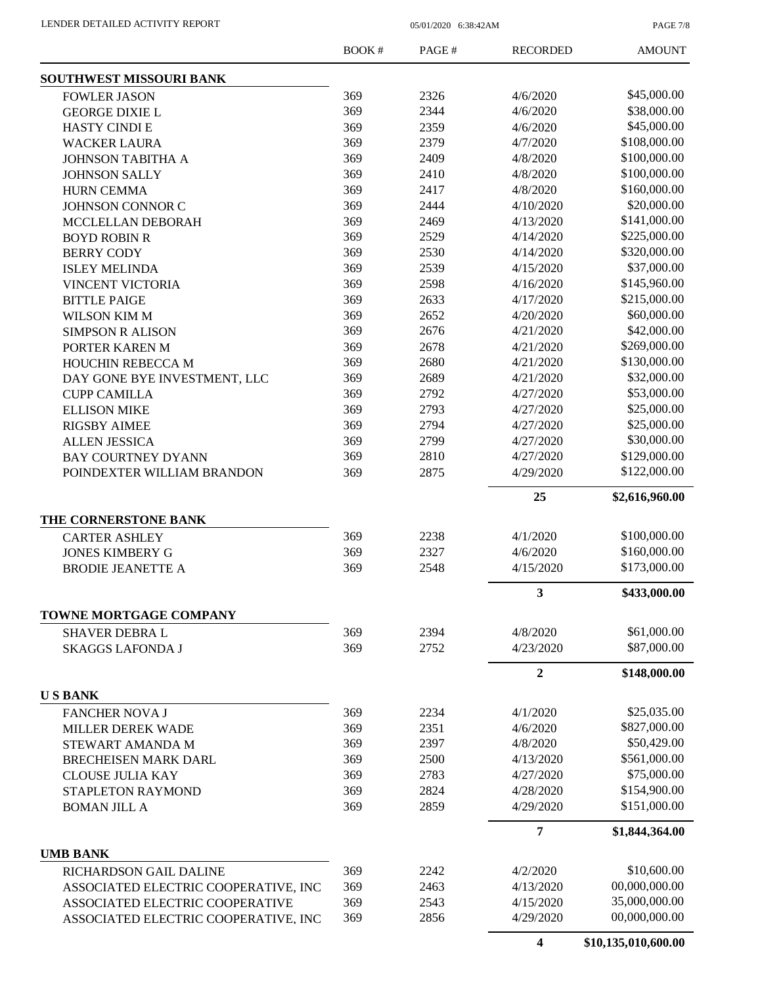PAGE 7/8

|                                                                         | <b>BOOK#</b> | PAGE#        | <b>RECORDED</b>        | <b>AMOUNT</b>                  |
|-------------------------------------------------------------------------|--------------|--------------|------------------------|--------------------------------|
| SOUTHWEST MISSOURI BANK                                                 |              |              |                        |                                |
| <b>FOWLER JASON</b>                                                     | 369          | 2326         | 4/6/2020               | \$45,000.00                    |
| <b>GEORGE DIXIE L</b>                                                   | 369          | 2344         | 4/6/2020               | \$38,000.00                    |
| <b>HASTY CINDI E</b>                                                    | 369          | 2359         | 4/6/2020               | \$45,000.00                    |
| <b>WACKER LAURA</b>                                                     | 369          | 2379         | 4/7/2020               | \$108,000.00                   |
| <b>JOHNSON TABITHA A</b>                                                | 369          | 2409         | 4/8/2020               | \$100,000.00                   |
| <b>JOHNSON SALLY</b>                                                    | 369          | 2410         | 4/8/2020               | \$100,000.00                   |
| <b>HURN CEMMA</b>                                                       | 369          | 2417         | 4/8/2020               | \$160,000.00                   |
| <b>JOHNSON CONNOR C</b>                                                 | 369          | 2444         | 4/10/2020              | \$20,000.00                    |
| MCCLELLAN DEBORAH                                                       | 369          | 2469         | 4/13/2020              | \$141,000.00                   |
| <b>BOYD ROBIN R</b>                                                     | 369          | 2529         | 4/14/2020              | \$225,000.00                   |
| <b>BERRY CODY</b>                                                       | 369          | 2530         | 4/14/2020              | \$320,000.00                   |
| <b>ISLEY MELINDA</b>                                                    | 369          | 2539         | 4/15/2020              | \$37,000.00                    |
| VINCENT VICTORIA                                                        | 369          | 2598         | 4/16/2020              | \$145,960.00                   |
| <b>BITTLE PAIGE</b>                                                     | 369          | 2633         | 4/17/2020              | \$215,000.00                   |
| <b>WILSON KIM M</b>                                                     | 369          | 2652         | 4/20/2020              | \$60,000.00                    |
| <b>SIMPSON R ALISON</b>                                                 | 369          | 2676         | 4/21/2020              | \$42,000.00                    |
| PORTER KAREN M                                                          | 369          | 2678         | 4/21/2020              | \$269,000.00                   |
| <b>HOUCHIN REBECCA M</b>                                                | 369          | 2680         | 4/21/2020              | \$130,000.00                   |
| DAY GONE BYE INVESTMENT, LLC                                            | 369          | 2689         | 4/21/2020              | \$32,000.00                    |
| <b>CUPP CAMILLA</b>                                                     | 369          | 2792         | 4/27/2020              | \$53,000.00                    |
| <b>ELLISON MIKE</b>                                                     | 369          | 2793         | 4/27/2020              | \$25,000.00                    |
| <b>RIGSBY AIMEE</b>                                                     | 369          | 2794         | 4/27/2020              | \$25,000.00                    |
| <b>ALLEN JESSICA</b>                                                    | 369          | 2799         | 4/27/2020              | \$30,000.00                    |
| <b>BAY COURTNEY DYANN</b>                                               | 369          | 2810         | 4/27/2020              | \$129,000.00                   |
| POINDEXTER WILLIAM BRANDON                                              | 369          | 2875         | 4/29/2020              | \$122,000.00                   |
|                                                                         |              |              | 25                     | \$2,616,960.00                 |
| THE CORNERSTONE BANK                                                    |              |              |                        |                                |
| <b>CARTER ASHLEY</b>                                                    | 369          | 2238         | 4/1/2020               | \$100,000.00                   |
| <b>JONES KIMBERY G</b>                                                  | 369          | 2327         | 4/6/2020               | \$160,000.00                   |
| <b>BRODIE JEANETTE A</b>                                                | 369          | 2548         | 4/15/2020              | \$173,000.00                   |
|                                                                         |              |              | 3                      | \$433,000.00                   |
| TOWNE MORTGAGE COMPANY                                                  |              |              |                        |                                |
| <b>SHAVER DEBRA L</b>                                                   | 369          | 2394         | 4/8/2020               | \$61,000.00                    |
| <b>SKAGGS LAFONDA J</b>                                                 | 369          | 2752         | 4/23/2020              | \$87,000.00                    |
|                                                                         |              |              | $\boldsymbol{2}$       | \$148,000.00                   |
| <b>USBANK</b>                                                           |              |              |                        | \$25,035.00                    |
| <b>FANCHER NOVA J</b>                                                   | 369          | 2234         | 4/1/2020               |                                |
| MILLER DEREK WADE                                                       | 369          | 2351         | 4/6/2020               | \$827,000.00                   |
| STEWART AMANDA M                                                        | 369          | 2397         | 4/8/2020               | \$50,429.00                    |
| <b>BRECHEISEN MARK DARL</b>                                             | 369          | 2500         | 4/13/2020              | \$561,000.00                   |
| <b>CLOUSE JULIA KAY</b>                                                 |              |              |                        |                                |
|                                                                         | 369          | 2783         | 4/27/2020              | \$75,000.00                    |
| STAPLETON RAYMOND                                                       | 369          | 2824         | 4/28/2020              | \$154,900.00                   |
| <b>BOMAN JILL A</b>                                                     | 369          | 2859         | 4/29/2020              | \$151,000.00                   |
|                                                                         |              |              | $\overline{7}$         | \$1,844,364.00                 |
| <b>UMB BANK</b>                                                         |              |              |                        |                                |
| RICHARDSON GAIL DALINE                                                  | 369          | 2242         | 4/2/2020               | \$10,600.00                    |
| ASSOCIATED ELECTRIC COOPERATIVE, INC                                    | 369          | 2463         | 4/13/2020              | 00,000,000.00                  |
| ASSOCIATED ELECTRIC COOPERATIVE<br>ASSOCIATED ELECTRIC COOPERATIVE, INC | 369<br>369   | 2543<br>2856 | 4/15/2020<br>4/29/2020 | 35,000,000.00<br>00,000,000.00 |

**4 \$10,135,010,600.00**